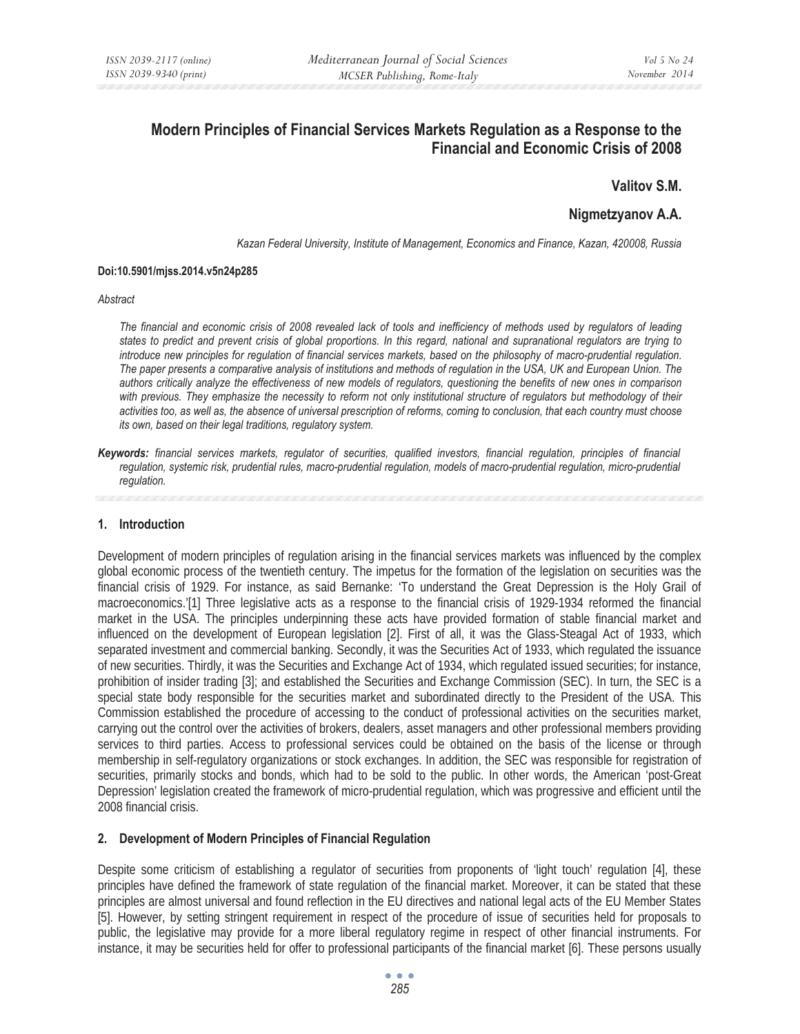# **Modern Principles of Financial Services Markets Regulation as a Response to the Financial and Economic Crisis of 2008**

# **Valitov S.M.**

# **Nigmetzyanov A.A.**

*Kazan Federal University, Institute of Management, Economics and Finance, Kazan, 420008, Russia* 

#### **Doi:10.5901/mjss.2014.v5n24p285**

#### *Abstract*

*The financial and economic crisis of 2008 revealed lack of tools and inefficiency of methods used by regulators of leading states to predict and prevent crisis of global proportions. In this regard, national and supranational regulators are trying to introduce new principles for regulation of financial services markets, based on the philosophy of macro-prudential regulation. The paper presents a comparative analysis of institutions and methods of regulation in the USA, UK and European Union. The authors critically analyze the effectiveness of new models of regulators, questioning the benefits of new ones in comparison*  with previous. They emphasize the necessity to reform not only institutional structure of regulators but methodology of their *activities too, as well as, the absence of universal prescription of reforms, coming to conclusion, that each country must choose its own, based on their legal traditions, regulatory system.* 

*Keywords: financial services markets, regulator of securities, qualified investors, financial regulation, principles of financial regulation, systemic risk, prudential rules, macro-prudential regulation, models of macro-prudential regulation, micro-prudential regulation.* 

## **1. Introduction**

Development of modern principles of regulation arising in the financial services markets was influenced by the complex global economic process of the twentieth century. The impetus for the formation of the legislation on securities was the financial crisis of 1929. For instance, as said Bernanke: 'To understand the Great Depression is the Holy Grail of macroeconomics.'[1] Three legislative acts as a response to the financial crisis of 1929-1934 reformed the financial market in the USA. The principles underpinning these acts have provided formation of stable financial market and influenced on the development of European legislation [2]. First of all, it was the Glass-Steagal Act of 1933, which separated investment and commercial banking. Secondly, it was the Securities Act of 1933, which regulated the issuance of new securities. Thirdly, it was the Securities and Exchange Act of 1934, which regulated issued securities; for instance, prohibition of insider trading [3]; and established the Securities and Exchange Commission (SEC). In turn, the SEC is a special state body responsible for the securities market and subordinated directly to the President of the USA. This Commission established the procedure of accessing to the conduct of professional activities on the securities market, carrying out the control over the activities of brokers, dealers, asset managers and other professional members providing services to third parties. Access to professional services could be obtained on the basis of the license or through membership in self-regulatory organizations or stock exchanges. In addition, the SEC was responsible for registration of securities, primarily stocks and bonds, which had to be sold to the public. In other words, the American 'post-Great Depression' legislation created the framework of micro-prudential regulation, which was progressive and efficient until the 2008 financial crisis.

# **2. Development of Modern Principles of Financial Regulation**

Despite some criticism of establishing a regulator of securities from proponents of 'light touch' regulation [4], these principles have defined the framework of state regulation of the financial market. Moreover, it can be stated that these principles are almost universal and found reflection in the EU directives and national legal acts of the EU Member States [5]. However, by setting stringent requirement in respect of the procedure of issue of securities held for proposals to public, the legislative may provide for a more liberal regulatory regime in respect of other financial instruments. For instance, it may be securities held for offer to professional participants of the financial market [6]. These persons usually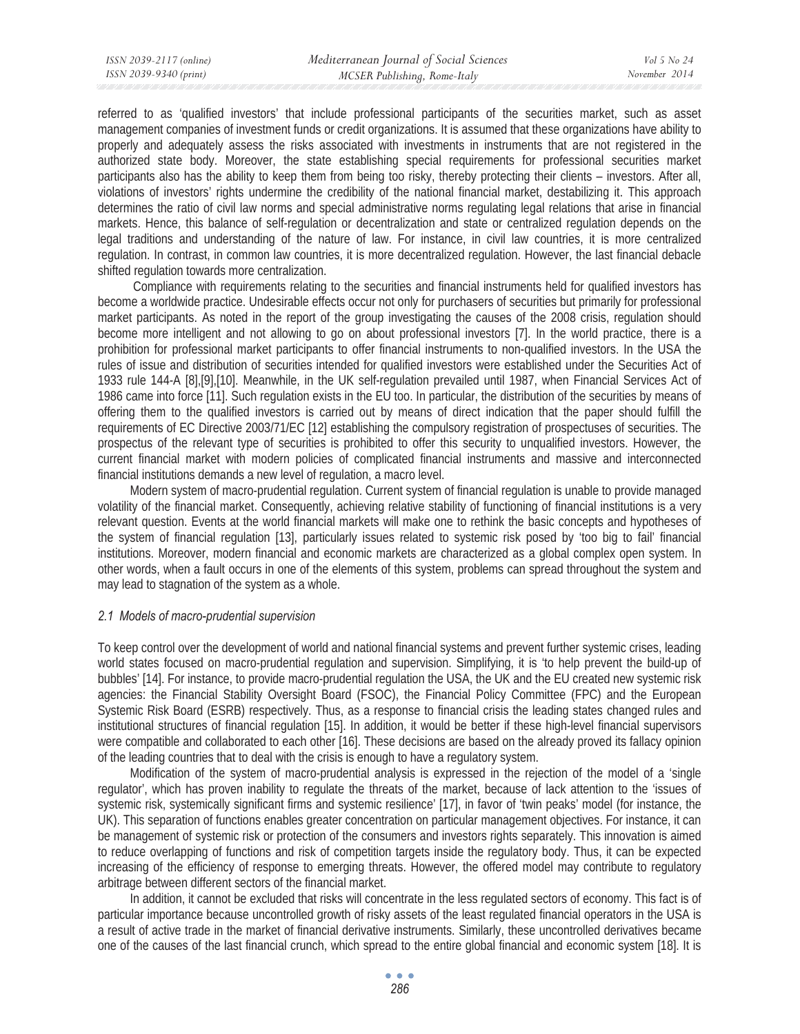referred to as 'qualified investors' that include professional participants of the securities market, such as asset management companies of investment funds or credit organizations. It is assumed that these organizations have ability to properly and adequately assess the risks associated with investments in instruments that are not registered in the authorized state body. Moreover, the state establishing special requirements for professional securities market participants also has the ability to keep them from being too risky, thereby protecting their clients – investors. After all, violations of investors' rights undermine the credibility of the national financial market, destabilizing it. This approach determines the ratio of civil law norms and special administrative norms regulating legal relations that arise in financial markets. Hence, this balance of self-regulation or decentralization and state or centralized regulation depends on the legal traditions and understanding of the nature of law. For instance, in civil law countries, it is more centralized regulation. In contrast, in common law countries, it is more decentralized regulation. However, the last financial debacle shifted regulation towards more centralization.

 Compliance with requirements relating to the securities and financial instruments held for qualified investors has become a worldwide practice. Undesirable effects occur not only for purchasers of securities but primarily for professional market participants. As noted in the report of the group investigating the causes of the 2008 crisis, regulation should become more intelligent and not allowing to go on about professional investors [7]. In the world practice, there is a prohibition for professional market participants to offer financial instruments to non-qualified investors. In the USA the rules of issue and distribution of securities intended for qualified investors were established under the Securities Act of 1933 rule 144-A [8],[9],[10]. Meanwhile, in the UK self-regulation prevailed until 1987, when Financial Services Act of 1986 came into force [11]. Such regulation exists in the EU too. In particular, the distribution of the securities by means of offering them to the qualified investors is carried out by means of direct indication that the paper should fulfill the requirements of EC Directive 2003/71/EC [12] establishing the compulsory registration of prospectuses of securities. The prospectus of the relevant type of securities is prohibited to offer this security to unqualified investors. However, the current financial market with modern policies of complicated financial instruments and massive and interconnected financial institutions demands a new level of regulation, a macro level.

Modern system of macro-prudential regulation. Current system of financial regulation is unable to provide managed volatility of the financial market. Consequently, achieving relative stability of functioning of financial institutions is a very relevant question. Events at the world financial markets will make one to rethink the basic concepts and hypotheses of the system of financial regulation [13], particularly issues related to systemic risk posed by 'too big to fail' financial institutions. Moreover, modern financial and economic markets are characterized as a global complex open system. In other words, when a fault occurs in one of the elements of this system, problems can spread throughout the system and may lead to stagnation of the system as a whole.

#### *2.1 Models of macro-prudential supervision*

To keep control over the development of world and national financial systems and prevent further systemic crises, leading world states focused on macro-prudential regulation and supervision. Simplifying, it is 'to help prevent the build-up of bubbles' [14]. For instance, to provide macro-prudential regulation the USA, the UK and the EU created new systemic risk agencies: the Financial Stability Oversight Board (FSOC), the Financial Policy Committee (FPC) and the European Systemic Risk Board (ESRB) respectively. Thus, as a response to financial crisis the leading states changed rules and institutional structures of financial regulation [15]. In addition, it would be better if these high-level financial supervisors were compatible and collaborated to each other [16]. These decisions are based on the already proved its fallacy opinion of the leading countries that to deal with the crisis is enough to have a regulatory system.

Modification of the system of macro-prudential analysis is expressed in the rejection of the model of a 'single regulator', which has proven inability to regulate the threats of the market, because of lack attention to the 'issues of systemic risk, systemically significant firms and systemic resilience' [17], in favor of 'twin peaks' model (for instance, the UK). This separation of functions enables greater concentration on particular management objectives. For instance, it can be management of systemic risk or protection of the consumers and investors rights separately. This innovation is aimed to reduce overlapping of functions and risk of competition targets inside the regulatory body. Thus, it can be expected increasing of the efficiency of response to emerging threats. However, the offered model may contribute to regulatory arbitrage between different sectors of the financial market.

In addition, it cannot be excluded that risks will concentrate in the less regulated sectors of economy. This fact is of particular importance because uncontrolled growth of risky assets of the least regulated financial operators in the USA is a result of active trade in the market of financial derivative instruments. Similarly, these uncontrolled derivatives became one of the causes of the last financial crunch, which spread to the entire global financial and economic system [18]. It is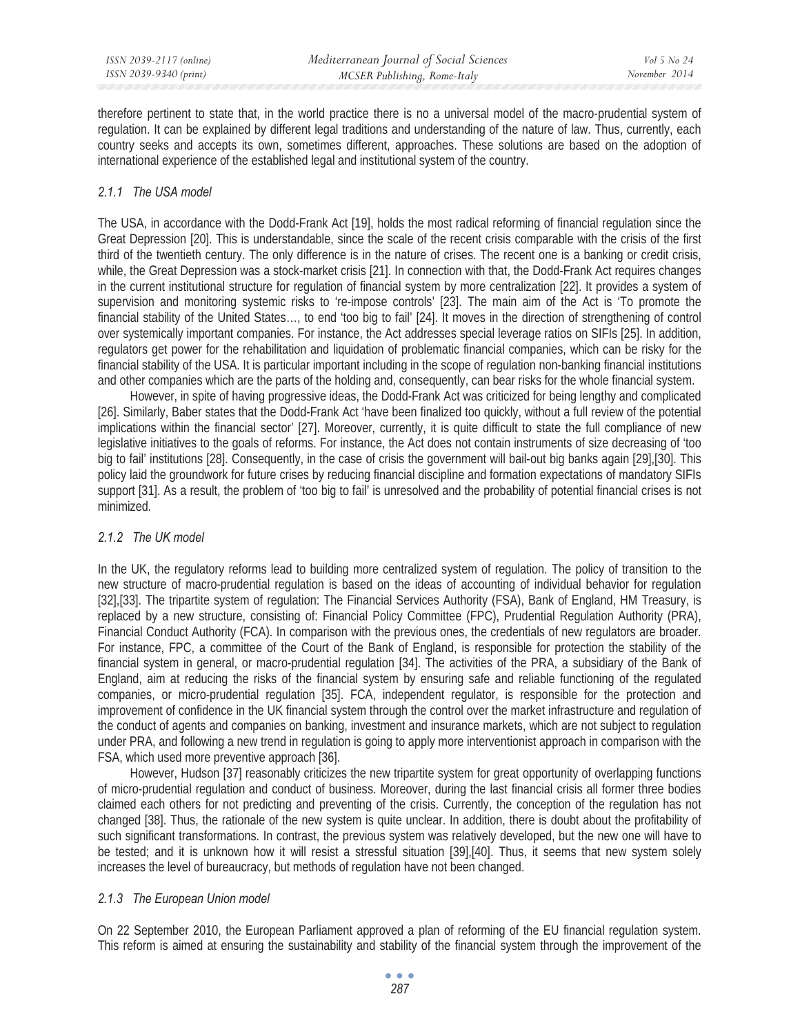therefore pertinent to state that, in the world practice there is no a universal model of the macro-prudential system of regulation. It can be explained by different legal traditions and understanding of the nature of law. Thus, currently, each country seeks and accepts its own, sometimes different, approaches. These solutions are based on the adoption of international experience of the established legal and institutional system of the country.

## *2.1.1 The USA model*

The USA, in accordance with the Dodd-Frank Act [19], holds the most radical reforming of financial regulation since the Great Depression [20]. This is understandable, since the scale of the recent crisis comparable with the crisis of the first third of the twentieth century. The only difference is in the nature of crises. The recent one is a banking or credit crisis, while, the Great Depression was a stock-market crisis [21]. In connection with that, the Dodd-Frank Act requires changes in the current institutional structure for regulation of financial system by more centralization [22]. It provides a system of supervision and monitoring systemic risks to 're-impose controls' [23]. The main aim of the Act is 'To promote the financial stability of the United States…, to end 'too big to fail' [24]. It moves in the direction of strengthening of control over systemically important companies. For instance, the Act addresses special leverage ratios on SIFIs [25]. In addition, regulators get power for the rehabilitation and liquidation of problematic financial companies, which can be risky for the financial stability of the USA. It is particular important including in the scope of regulation non-banking financial institutions and other companies which are the parts of the holding and, consequently, can bear risks for the whole financial system.

However, in spite of having progressive ideas, the Dodd-Frank Act was criticized for being lengthy and complicated [26]. Similarly, Baber states that the Dodd-Frank Act 'have been finalized too quickly, without a full review of the potential implications within the financial sector' [27]. Moreover, currently, it is quite difficult to state the full compliance of new legislative initiatives to the goals of reforms. For instance, the Act does not contain instruments of size decreasing of 'too big to fail' institutions [28]. Consequently, in the case of crisis the government will bail-out big banks again [29],[30]. This policy laid the groundwork for future crises by reducing financial discipline and formation expectations of mandatory SIFIs support [31]. As a result, the problem of 'too big to fail' is unresolved and the probability of potential financial crises is not minimized.

# *2.1.2 The UK model*

In the UK, the regulatory reforms lead to building more centralized system of regulation. The policy of transition to the new structure of macro-prudential regulation is based on the ideas of accounting of individual behavior for regulation [32],[33]. The tripartite system of regulation: The Financial Services Authority (FSA), Bank of England, HM Treasury, is replaced by a new structure, consisting of: Financial Policy Committee (FPC), Prudential Regulation Authority (PRA), Financial Conduct Authority (FCA). In comparison with the previous ones, the credentials of new regulators are broader. For instance, FPC, a committee of the Court of the Bank of England, is responsible for protection the stability of the financial system in general, or macro-prudential regulation [34]. The activities of the PRA, a subsidiary of the Bank of England, aim at reducing the risks of the financial system by ensuring safe and reliable functioning of the regulated companies, or micro-prudential regulation [35]. FCA, independent regulator, is responsible for the protection and improvement of confidence in the UK financial system through the control over the market infrastructure and regulation of the conduct of agents and companies on banking, investment and insurance markets, which are not subject to regulation under PRA, and following a new trend in regulation is going to apply more interventionist approach in comparison with the FSA, which used more preventive approach [36].

However, Hudson [37] reasonably criticizes the new tripartite system for great opportunity of overlapping functions of micro-prudential regulation and conduct of business. Moreover, during the last financial crisis all former three bodies claimed each others for not predicting and preventing of the crisis. Currently, the conception of the regulation has not changed [38]. Thus, the rationale of the new system is quite unclear. In addition, there is doubt about the profitability of such significant transformations. In contrast, the previous system was relatively developed, but the new one will have to be tested; and it is unknown how it will resist a stressful situation [39],[40]. Thus, it seems that new system solely increases the level of bureaucracy, but methods of regulation have not been changed.

### *2.1.3 The European Union model*

On 22 September 2010, the European Parliament approved a plan of reforming of the EU financial regulation system. This reform is aimed at ensuring the sustainability and stability of the financial system through the improvement of the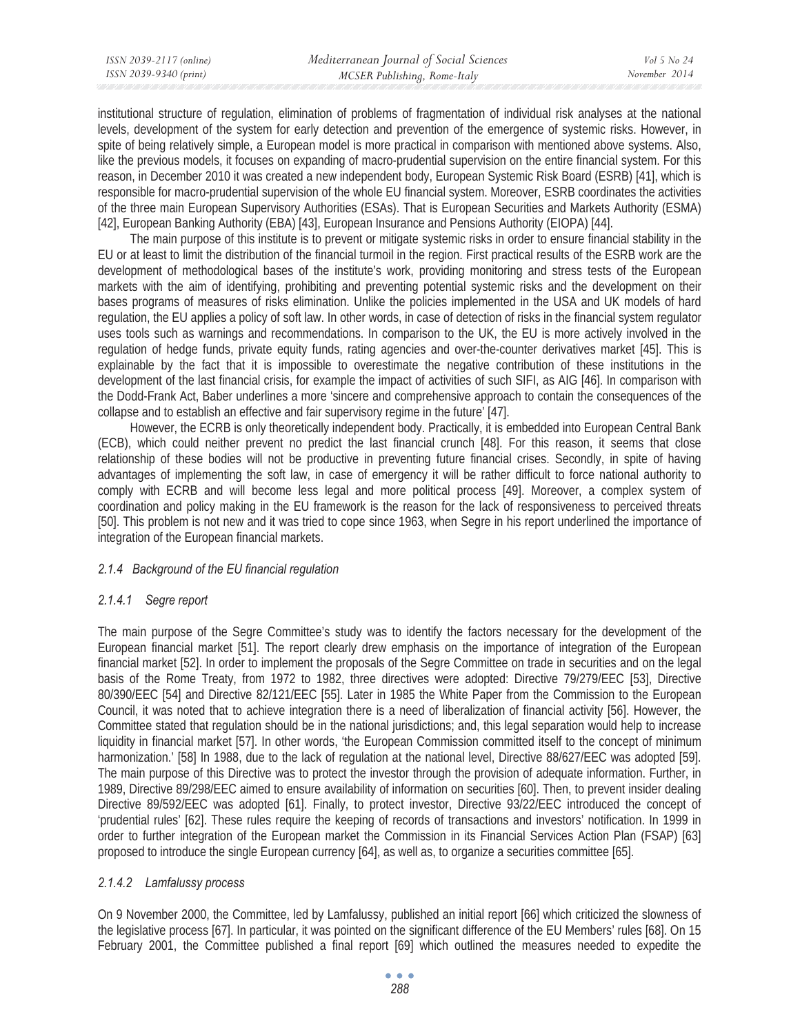institutional structure of regulation, elimination of problems of fragmentation of individual risk analyses at the national levels, development of the system for early detection and prevention of the emergence of systemic risks. However, in spite of being relatively simple, a European model is more practical in comparison with mentioned above systems. Also, like the previous models, it focuses on expanding of macro-prudential supervision on the entire financial system. For this reason, in December 2010 it was created a new independent body, European Systemic Risk Board (ESRB) [41], which is responsible for macro-prudential supervision of the whole EU financial system. Moreover, ESRB coordinates the activities of the three main European Supervisory Authorities (ESAs). That is European Securities and Markets Authority (ESMA) [42], European Banking Authority (EBA) [43], European Insurance and Pensions Authority (EIOPA) [44].

The main purpose of this institute is to prevent or mitigate systemic risks in order to ensure financial stability in the EU or at least to limit the distribution of the financial turmoil in the region. First practical results of the ESRB work are the development of methodological bases of the institute's work, providing monitoring and stress tests of the European markets with the aim of identifying, prohibiting and preventing potential systemic risks and the development on their bases programs of measures of risks elimination. Unlike the policies implemented in the USA and UK models of hard regulation, the EU applies a policy of soft law. In other words, in case of detection of risks in the financial system regulator uses tools such as warnings and recommendations. In comparison to the UK, the EU is more actively involved in the regulation of hedge funds, private equity funds, rating agencies and over-the-counter derivatives market [45]. This is explainable by the fact that it is impossible to overestimate the negative contribution of these institutions in the development of the last financial crisis, for example the impact of activities of such SIFI, as AIG [46]. In comparison with the Dodd-Frank Act, Baber underlines a more 'sincere and comprehensive approach to contain the consequences of the collapse and to establish an effective and fair supervisory regime in the future' [47].

However, the ECRB is only theoretically independent body. Practically, it is embedded into European Central Bank (ECB), which could neither prevent no predict the last financial crunch [48]. For this reason, it seems that close relationship of these bodies will not be productive in preventing future financial crises. Secondly, in spite of having advantages of implementing the soft law, in case of emergency it will be rather difficult to force national authority to comply with ECRB and will become less legal and more political process [49]. Moreover, a complex system of coordination and policy making in the EU framework is the reason for the lack of responsiveness to perceived threats [50]. This problem is not new and it was tried to cope since 1963, when Segre in his report underlined the importance of integration of the European financial markets.

# *2.1.4 Background of the EU financial regulation*

# *2.1.4.1 Segre report*

The main purpose of the Segre Committee's study was to identify the factors necessary for the development of the European financial market [51]. The report clearly drew emphasis on the importance of integration of the European financial market [52]. In order to implement the proposals of the Segre Committee on trade in securities and on the legal basis of the Rome Treaty, from 1972 to 1982, three directives were adopted: Directive 79/279/EEC [53], Directive 80/390/EEC [54] and Directive 82/121/EEC [55]. Later in 1985 the White Paper from the Commission to the European Council, it was noted that to achieve integration there is a need of liberalization of financial activity [56]. However, the Committee stated that regulation should be in the national jurisdictions; and, this legal separation would help to increase liquidity in financial market [57]. In other words, 'the European Commission committed itself to the concept of minimum harmonization.' [58] In 1988, due to the lack of regulation at the national level, Directive 88/627/EEC was adopted [59]. The main purpose of this Directive was to protect the investor through the provision of adequate information. Further, in 1989, Directive 89/298/EEC aimed to ensure availability of information on securities [60]. Then, to prevent insider dealing Directive 89/592/EEC was adopted [61]. Finally, to protect investor, Directive 93/22/EEC introduced the concept of 'prudential rules' [62]. These rules require the keeping of records of transactions and investors' notification. In 1999 in order to further integration of the European market the Commission in its Financial Services Action Plan (FSAP) [63] proposed to introduce the single European currency [64], as well as, to organize a securities committee [65].

# *2.1.4.2 Lamfalussy process*

On 9 November 2000, the Committee, led by Lamfalussy, published an initial report [66] which criticized the slowness of the legislative process [67]. In particular, it was pointed on the significant difference of the EU Members' rules [68]. On 15 February 2001, the Committee published a final report [69] which outlined the measures needed to expedite the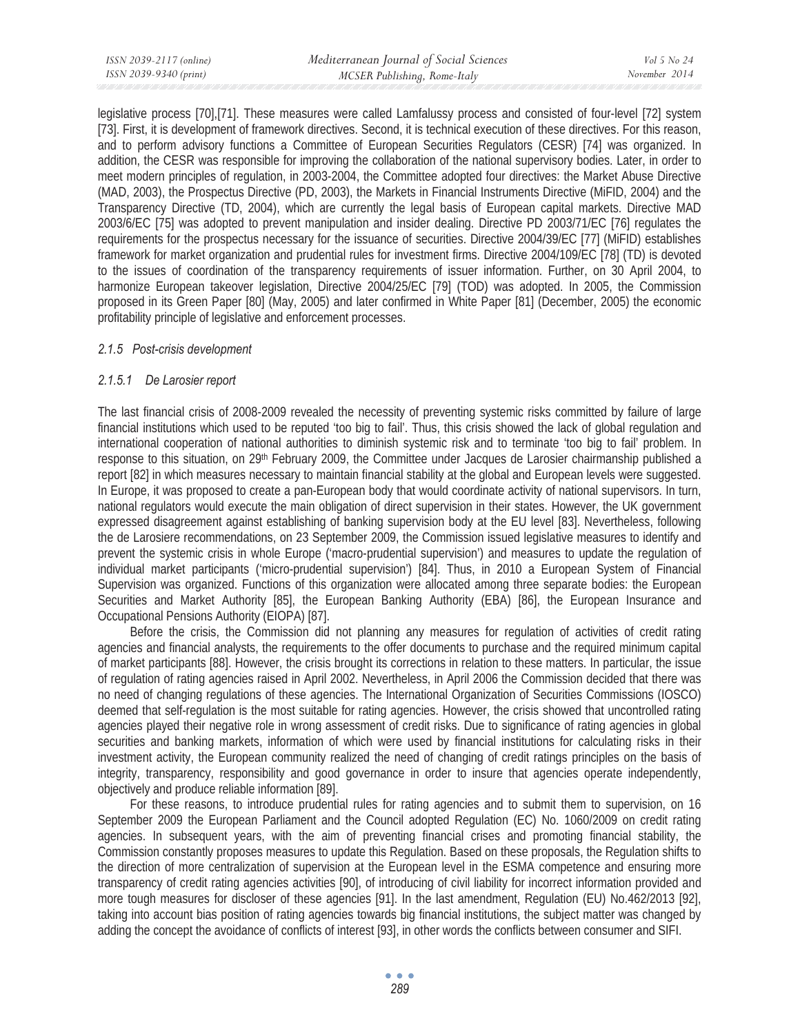| $ISSN 2039-2117$ (online) | Mediterranean Journal of Social Sciences |
|---------------------------|------------------------------------------|
| ISSN 2039-9340 (print)    | MCSER Publishing, Rome-Italy             |

legislative process [70],[71]. These measures were called Lamfalussy process and consisted of four-level [72] system [73]. First, it is development of framework directives. Second, it is technical execution of these directives. For this reason, and to perform advisory functions a Committee of European Securities Regulators (CESR) [74] was organized. In addition, the CESR was responsible for improving the collaboration of the national supervisory bodies. Later, in order to meet modern principles of regulation, in 2003-2004, the Committee adopted four directives: the Market Abuse Directive (MAD, 2003), the Prospectus Directive (PD, 2003), the Markets in Financial Instruments Directive (MiFID, 2004) and the Transparency Directive (TD, 2004), which are currently the legal basis of European capital markets. Directive MAD 2003/6/EC [75] was adopted to prevent manipulation and insider dealing. Directive PD 2003/71/EC [76] regulates the requirements for the prospectus necessary for the issuance of securities. Directive 2004/39/EC [77] (MiFID) establishes framework for market organization and prudential rules for investment firms. Directive 2004/109/EC [78] (TD) is devoted to the issues of coordination of the transparency requirements of issuer information. Further, on 30 April 2004, to harmonize European takeover legislation, Directive 2004/25/EC [79] (TOD) was adopted. In 2005, the Commission proposed in its Green Paper [80] (May, 2005) and later confirmed in White Paper [81] (December, 2005) the economic profitability principle of legislative and enforcement processes.

#### *2.1.5 Post-crisis development*

#### *2.1.5.1 De Larosier report*

The last financial crisis of 2008-2009 revealed the necessity of preventing systemic risks committed by failure of large financial institutions which used to be reputed 'too big to fail'. Thus, this crisis showed the lack of global regulation and international cooperation of national authorities to diminish systemic risk and to terminate 'too big to fail' problem. In response to this situation, on 29<sup>th</sup> February 2009, the Committee under Jacques de Larosier chairmanship published a report [82] in which measures necessary to maintain financial stability at the global and European levels were suggested. In Europe, it was proposed to create a pan-European body that would coordinate activity of national supervisors. In turn, national regulators would execute the main obligation of direct supervision in their states. However, the UK government expressed disagreement against establishing of banking supervision body at the EU level [83]. Nevertheless, following the de Larosiere recommendations, on 23 September 2009, the Commission issued legislative measures to identify and prevent the systemic crisis in whole Europe ('macro-prudential supervision') and measures to update the regulation of individual market participants ('micro-prudential supervision') [84]. Thus, in 2010 a European System of Financial Supervision was organized. Functions of this organization were allocated among three separate bodies: the European Securities and Market Authority [85], the European Banking Authority (EBA) [86], the European Insurance and Occupational Pensions Authority (EIOPA) [87].

Before the crisis, the Commission did not planning any measures for regulation of activities of credit rating agencies and financial analysts, the requirements to the offer documents to purchase and the required minimum capital of market participants [88]. However, the crisis brought its corrections in relation to these matters. In particular, the issue of regulation of rating agencies raised in April 2002. Nevertheless, in April 2006 the Commission decided that there was no need of changing regulations of these agencies. The International Organization of Securities Commissions (IOSCO) deemed that self-regulation is the most suitable for rating agencies. However, the crisis showed that uncontrolled rating agencies played their negative role in wrong assessment of credit risks. Due to significance of rating agencies in global securities and banking markets, information of which were used by financial institutions for calculating risks in their investment activity, the European community realized the need of changing of credit ratings principles on the basis of integrity, transparency, responsibility and good governance in order to insure that agencies operate independently, objectively and produce reliable information [89].

For these reasons, to introduce prudential rules for rating agencies and to submit them to supervision, on 16 September 2009 the European Parliament and the Council adopted Regulation (EC) No. 1060/2009 on credit rating agencies. In subsequent years, with the aim of preventing financial crises and promoting financial stability, the Commission constantly proposes measures to update this Regulation. Based on these proposals, the Regulation shifts to the direction of more centralization of supervision at the European level in the ESMA competence and ensuring more transparency of credit rating agencies activities [90], of introducing of civil liability for incorrect information provided and more tough measures for discloser of these agencies [91]. In the last amendment, Regulation (EU) No.462/2013 [92], taking into account bias position of rating agencies towards big financial institutions, the subject matter was changed by adding the concept the avoidance of conflicts of interest [93], in other words the conflicts between consumer and SIFI.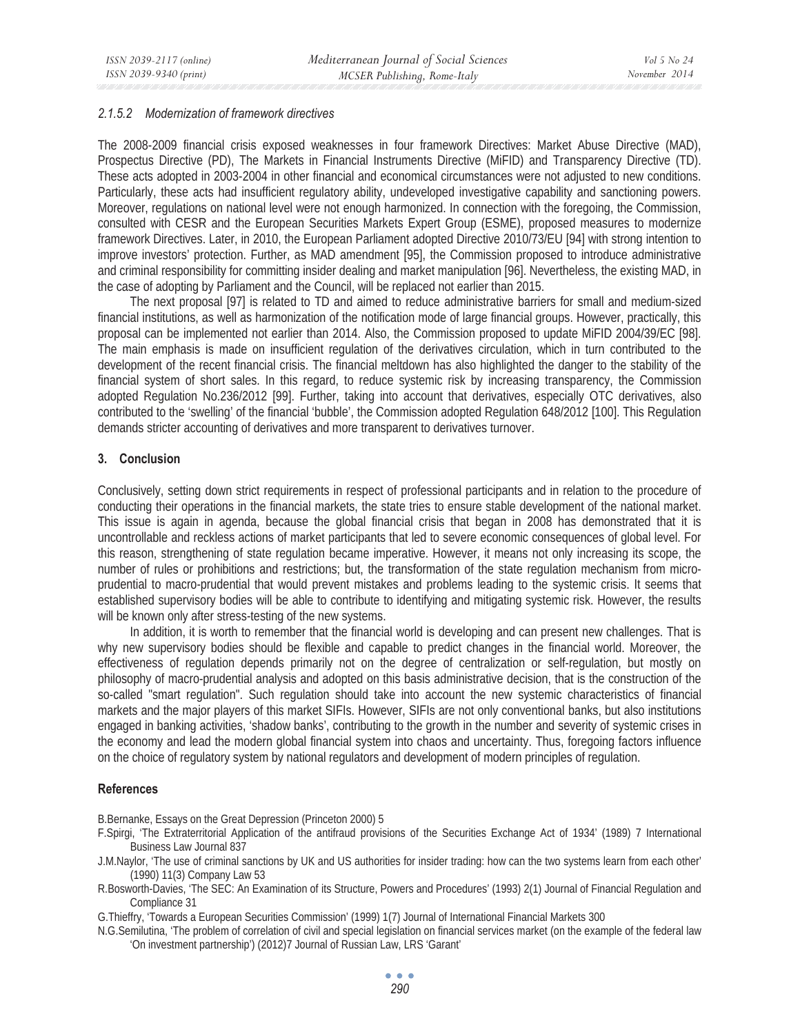### *2.1.5.2 Modernization of framework directives*

The 2008-2009 financial crisis exposed weaknesses in four framework Directives: Market Abuse Directive (MAD), Prospectus Directive (PD), The Markets in Financial Instruments Directive (MiFID) and Transparency Directive (TD). These acts adopted in 2003-2004 in other financial and economical circumstances were not adjusted to new conditions. Particularly, these acts had insufficient regulatory ability, undeveloped investigative capability and sanctioning powers. Moreover, regulations on national level were not enough harmonized. In connection with the foregoing, the Commission, consulted with CESR and the European Securities Markets Expert Group (ESME), proposed measures to modernize framework Directives. Later, in 2010, the European Parliament adopted Directive 2010/73/EU [94] with strong intention to improve investors' protection. Further, as MAD amendment [95], the Commission proposed to introduce administrative and criminal responsibility for committing insider dealing and market manipulation [96]. Nevertheless, the existing MAD, in the case of adopting by Parliament and the Council, will be replaced not earlier than 2015.

The next proposal [97] is related to TD and aimed to reduce administrative barriers for small and medium-sized financial institutions, as well as harmonization of the notification mode of large financial groups. However, practically, this proposal can be implemented not earlier than 2014. Also, the Commission proposed to update MiFID 2004/39/EC [98]. The main emphasis is made on insufficient regulation of the derivatives circulation, which in turn contributed to the development of the recent financial crisis. The financial meltdown has also highlighted the danger to the stability of the financial system of short sales. In this regard, to reduce systemic risk by increasing transparency, the Commission adopted Regulation No.236/2012 [99]. Further, taking into account that derivatives, especially OTC derivatives, also contributed to the 'swelling' of the financial 'bubble', the Commission adopted Regulation 648/2012 [100]. This Regulation demands stricter accounting of derivatives and more transparent to derivatives turnover.

## **3. Conclusion**

Conclusively, setting down strict requirements in respect of professional participants and in relation to the procedure of conducting their operations in the financial markets, the state tries to ensure stable development of the national market. This issue is again in agenda, because the global financial crisis that began in 2008 has demonstrated that it is uncontrollable and reckless actions of market participants that led to severe economic consequences of global level. For this reason, strengthening of state regulation became imperative. However, it means not only increasing its scope, the number of rules or prohibitions and restrictions; but, the transformation of the state regulation mechanism from microprudential to macro-prudential that would prevent mistakes and problems leading to the systemic crisis. It seems that established supervisory bodies will be able to contribute to identifying and mitigating systemic risk. However, the results will be known only after stress-testing of the new systems.

In addition, it is worth to remember that the financial world is developing and can present new challenges. That is why new supervisory bodies should be flexible and capable to predict changes in the financial world. Moreover, the effectiveness of regulation depends primarily not on the degree of centralization or self-regulation, but mostly on philosophy of macro-prudential analysis and adopted on this basis administrative decision, that is the construction of the so-called "smart regulation". Such regulation should take into account the new systemic characteristics of financial markets and the major players of this market SIFIs. However, SIFIs are not only conventional banks, but also institutions engaged in banking activities, 'shadow banks', contributing to the growth in the number and severity of systemic crises in the economy and lead the modern global financial system into chaos and uncertainty. Thus, foregoing factors influence on the choice of regulatory system by national regulators and development of modern principles of regulation.

### **References**

B.Bernanke, Essays on the Great Depression (Princeton 2000) 5

- F.Spirgi, 'The Extraterritorial Application of the antifraud provisions of the Securities Exchange Act of 1934' (1989) 7 International Business Law Journal 837
- J.M.Naylor, 'The use of criminal sanctions by UK and US authorities for insider trading: how can the two systems learn from each other' (1990) 11(3) Company Law 53
- R.Bosworth-Davies, 'The SEC: An Examination of its Structure, Powers and Procedures' (1993) 2(1) Journal of Financial Regulation and Compliance 31

G.Thieffry, 'Towards a European Securities Commission' (1999) 1(7) Journal of International Financial Markets 300

N.G.Semilutina, 'The problem of correlation of civil and special legislation on financial services market (on the example of the federal law 'On investment partnership') (2012)7 Journal of Russian Law, LRS 'Garant'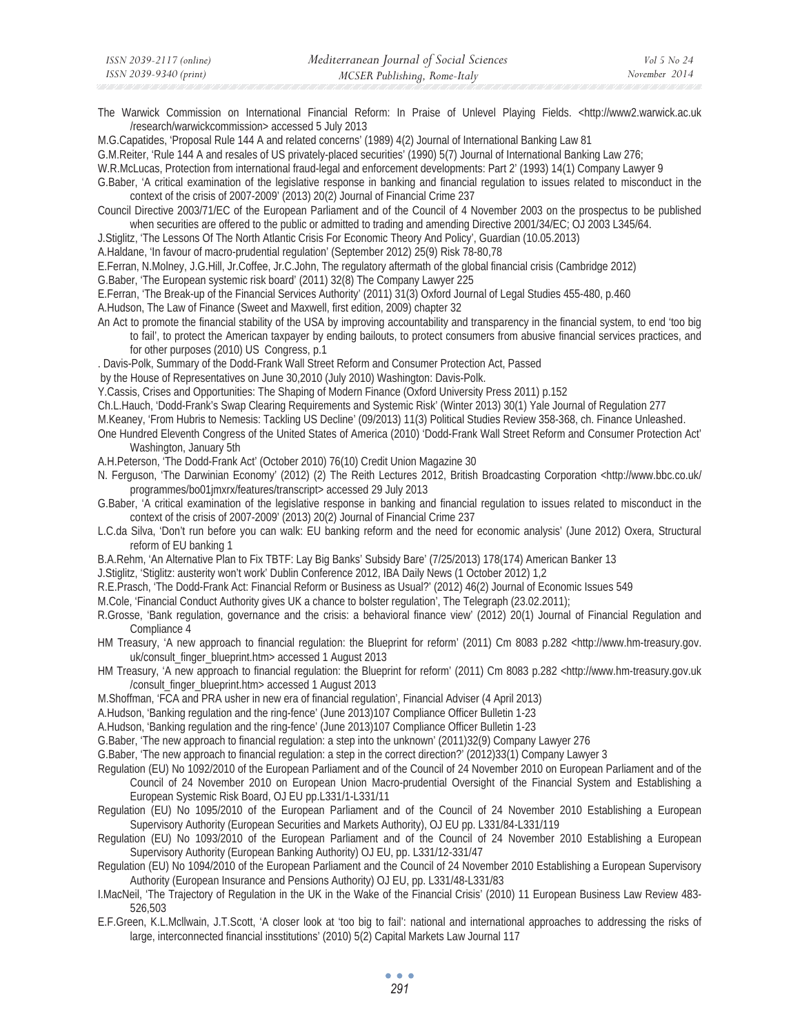The Warwick Commission on International Financial Reform: In Praise of Unlevel Playing Fields. <http://www2.warwick.ac.uk /research/warwickcommission> accessed 5 July 2013

M.G.Capatides, 'Proposal Rule 144 A and related concerns' (1989) 4(2) Journal of International Banking Law 81

G.M.Reiter, 'Rule 144 A and resales of US privately-placed securities' (1990) 5(7) Journal of International Banking Law 276;

W.R.McLucas, Protection from international fraud-legal and enforcement developments: Part 2' (1993) 14(1) Company Lawyer 9

G.Baber, 'A critical examination of the legislative response in banking and financial regulation to issues related to misconduct in the context of the crisis of 2007-2009' (2013) 20(2) Journal of Financial Crime 237

Council Directive 2003/71/EC of the European Parliament and of the Council of 4 November 2003 on the prospectus to be published when securities are offered to the public or admitted to trading and amending Directive 2001/34/EC; OJ 2003 L345/64.

J.Stiglitz, 'The Lessons Of The North Atlantic Crisis For Economic Theory And Policy', Guardian (10.05.2013)

A.Haldane, 'In favour of macro-prudential regulation' (September 2012) 25(9) Risk 78-80,78

E.Ferran, N.Molney, J.G.Hill, Jr.Coffee, Jr.C.John, The regulatory aftermath of the global financial crisis (Cambridge 2012)

G.Baber, 'The European systemic risk board' (2011) 32(8) The Company Lawyer 225

E.Ferran, 'The Break-up of the Financial Services Authority' (2011) 31(3) Oxford Journal of Legal Studies 455-480, p.460

A.Hudson, The Law of Finance (Sweet and Maxwell, first edition, 2009) chapter 32

An Act to promote the financial stability of the USA by improving accountability and transparency in the financial system, to end 'too big to fail', to protect the American taxpayer by ending bailouts, to protect consumers from abusive financial services practices, and for other purposes (2010) US Congress, p.1

. Davis-Polk, Summary of the Dodd-Frank Wall Street Reform and Consumer Protection Act, Passed

by the House of Representatives on June 30,2010 (July 2010) Washington: Davis-Polk.

Y.Cassis, Crises and Opportunities: The Shaping of Modern Finance (Oxford University Press 2011) p.152

Ch.L.Hauch, 'Dodd-Frank's Swap Clearing Requirements and Systemic Risk' (Winter 2013) 30(1) Yale Journal of Regulation 277

M.Keaney, 'From Hubris to Nemesis: Tackling US Decline' (09/2013) 11(3) Political Studies Review 358-368, ch. Finance Unleashed.

One Hundred Eleventh Congress of the United States of America (2010) 'Dodd-Frank Wall Street Reform and Consumer Protection Act' Washington, January 5th

A.H.Peterson, 'The Dodd-Frank Act' (October 2010) 76(10) Credit Union Magazine 30

N. Ferguson, 'The Darwinian Economy' (2012) (2) The Reith Lectures 2012, British Broadcasting Corporation <http://www.bbc.co.uk/ programmes/bo01jmxrx/features/transcript> accessed 29 July 2013

G.Baber, 'A critical examination of the legislative response in banking and financial regulation to issues related to misconduct in the context of the crisis of 2007-2009' (2013) 20(2) Journal of Financial Crime 237

- L.C.da Silva, 'Don't run before you can walk: EU banking reform and the need for economic analysis' (June 2012) Oxera, Structural reform of EU banking 1
- B.A.Rehm, 'An Alternative Plan to Fix TBTF: Lay Big Banks' Subsidy Bare' (7/25/2013) 178(174) American Banker 13

J.Stiglitz, 'Stiglitz: austerity won't work' Dublin Conference 2012, IBA Daily News (1 October 2012) 1,2

R.E.Prasch, 'The Dodd-Frank Act: Financial Reform or Business as Usual?' (2012) 46(2) Journal of Economic Issues 549

M.Cole, 'Financial Conduct Authority gives UK a chance to bolster regulation', The Telegraph (23.02.2011);

R.Grosse, 'Bank regulation, governance and the crisis: a behavioral finance view' (2012) 20(1) Journal of Financial Regulation and Compliance 4

HM Treasury, 'A new approach to financial regulation: the Blueprint for reform' (2011) Cm 8083 p.282 <http://www.hm-treasury.gov. uk/consult\_finger\_blueprint.htm> accessed 1 August 2013

HM Treasury, 'A new approach to financial regulation: the Blueprint for reform' (2011) Cm 8083 p.282 <http://www.hm-treasury.gov.uk /consult\_finger\_blueprint.htm> accessed 1 August 2013

M.Shoffman, 'FCA and PRA usher in new era of financial regulation', Financial Adviser (4 April 2013)

A.Hudson, 'Banking regulation and the ring-fence' (June 2013)107 Compliance Officer Bulletin 1-23

A.Hudson, 'Banking regulation and the ring-fence' (June 2013)107 Compliance Officer Bulletin 1-23

G.Baber, 'The new approach to financial regulation: a step into the unknown' (2011)32(9) Company Lawyer 276

G.Baber, 'The new approach to financial regulation: a step in the correct direction?' (2012)33(1) Company Lawyer 3

Regulation (EU) No 1092/2010 of the European Parliament and of the Council of 24 November 2010 on European Parliament and of the Council of 24 November 2010 on European Union Macro-prudential Oversight of the Financial System and Establishing a European Systemic Risk Board, OJ EU pp.L331/1-L331/11

Regulation (EU) No 1095/2010 of the European Parliament and of the Council of 24 November 2010 Establishing a European Supervisory Authority (European Securities and Markets Authority), OJ EU pp. L331/84-L331/119

Regulation (EU) No 1093/2010 of the European Parliament and of the Council of 24 November 2010 Establishing a European Supervisory Authority (European Banking Authority) OJ EU, pp. L331/12-331/47

Regulation (EU) No 1094/2010 of the European Parliament and the Council of 24 November 2010 Establishing a European Supervisory Authority (European Insurance and Pensions Authority) OJ EU, pp. L331/48-L331/83

I.MacNeil, 'The Trajectory of Regulation in the UK in the Wake of the Financial Crisis' (2010) 11 European Business Law Review 483- 526,503

E.F.Green, K.L.Mcllwain, J.T.Scott, 'A closer look at 'too big to fail': national and international approaches to addressing the risks of large, interconnected financial insstitutions' (2010) 5(2) Capital Markets Law Journal 117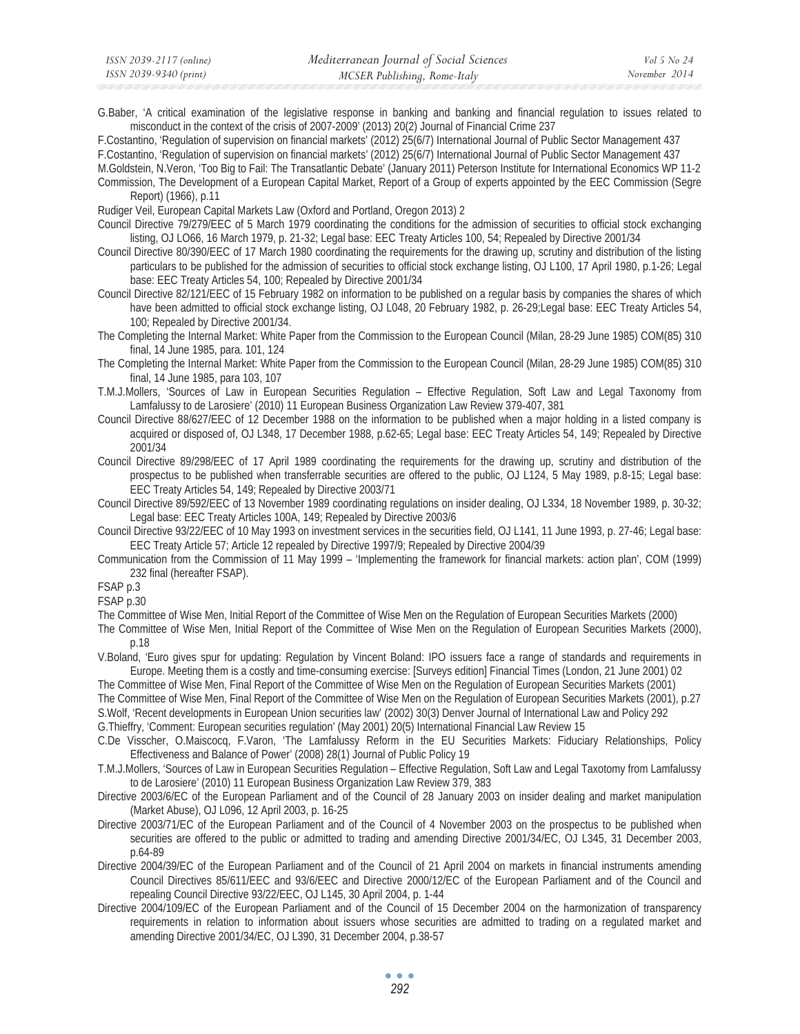G.Baber, 'A critical examination of the legislative response in banking and banking and financial regulation to issues related to misconduct in the context of the crisis of 2007-2009' (2013) 20(2) Journal of Financial Crime 237

F.Costantino, 'Regulation of supervision on financial markets' (2012) 25(6/7) International Journal of Public Sector Management 437

F.Costantino, 'Regulation of supervision on financial markets' (2012) 25(6/7) International Journal of Public Sector Management 437

M.Goldstein, N.Veron, 'Too Big to Fail: The Transatlantic Debate' (January 2011) Peterson Institute for International Economics WP 11-2

Commission, The Development of a European Capital Market, Report of a Group of experts appointed by the EEC Commission (Segre Report) (1966), p.11

Rudiger Veil, European Capital Markets Law (Oxford and Portland, Oregon 2013) 2

- Council Directive 79/279/EEC of 5 March 1979 coordinating the conditions for the admission of securities to official stock exchanging listing, OJ LO66, 16 March 1979, p. 21-32; Legal base: EEC Treaty Articles 100, 54; Repealed by Directive 2001/34
- Council Directive 80/390/EEC of 17 March 1980 coordinating the requirements for the drawing up, scrutiny and distribution of the listing particulars to be published for the admission of securities to official stock exchange listing, OJ L100, 17 April 1980, p.1-26; Legal base: EEC Treaty Articles 54, 100; Repealed by Directive 2001/34
- Council Directive 82/121/EEC of 15 February 1982 on information to be published on a regular basis by companies the shares of which have been admitted to official stock exchange listing, OJ L048, 20 February 1982, p. 26-29;Legal base: EEC Treaty Articles 54, 100; Repealed by Directive 2001/34.
- The Completing the Internal Market: White Paper from the Commission to the European Council (Milan, 28-29 June 1985) COM(85) 310 final, 14 June 1985, para. 101, 124
- The Completing the Internal Market: White Paper from the Commission to the European Council (Milan, 28-29 June 1985) COM(85) 310 final, 14 June 1985, para 103, 107
- T.M.J.Mollers, 'Sources of Law in European Securities Regulation Effective Regulation, Soft Law and Legal Taxonomy from Lamfalussy to de Larosiere' (2010) 11 European Business Organization Law Review 379-407, 381
- Council Directive 88/627/EEC of 12 December 1988 on the information to be published when a major holding in a listed company is acquired or disposed of, OJ L348, 17 December 1988, p.62-65; Legal base: EEC Treaty Articles 54, 149; Repealed by Directive 2001/34
- Council Directive 89/298/EEC of 17 April 1989 coordinating the requirements for the drawing up, scrutiny and distribution of the prospectus to be published when transferrable securities are offered to the public, OJ L124, 5 May 1989, p.8-15; Legal base: EEC Treaty Articles 54, 149; Repealed by Directive 2003/71
- Council Directive 89/592/EEC of 13 November 1989 coordinating regulations on insider dealing, OJ L334, 18 November 1989, p. 30-32; Legal base: EEC Treaty Articles 100A, 149; Repealed by Directive 2003/6
- Council Directive 93/22/EEC of 10 May 1993 on investment services in the securities field, OJ L141, 11 June 1993, p. 27-46; Legal base: EEC Treaty Article 57; Article 12 repealed by Directive 1997/9; Repealed by Directive 2004/39
- Communication from the Commission of 11 May 1999 'Implementing the framework for financial markets: action plan', COM (1999) 232 final (hereafter FSAP).

FSAP p.3

FSAP p.30

The Committee of Wise Men, Initial Report of the Committee of Wise Men on the Regulation of European Securities Markets (2000)

- The Committee of Wise Men, Initial Report of the Committee of Wise Men on the Regulation of European Securities Markets (2000), p.18
- V.Boland, 'Euro gives spur for updating: Regulation by Vincent Boland: IPO issuers face a range of standards and requirements in Europe. Meeting them is a costly and time-consuming exercise: [Surveys edition] Financial Times (London, 21 June 2001) 02

The Committee of Wise Men, Final Report of the Committee of Wise Men on the Regulation of European Securities Markets (2001)

The Committee of Wise Men, Final Report of the Committee of Wise Men on the Regulation of European Securities Markets (2001), p.27 S.Wolf, 'Recent developments in European Union securities law' (2002) 30(3) Denver Journal of International Law and Policy 292

G.Thieffry, 'Comment: European securities regulation' (May 2001) 20(5) International Financial Law Review 15

C.De Visscher, O.Maiscocq, F.Varon, 'The Lamfalussy Reform in the EU Securities Markets: Fiduciary Relationships, Policy Effectiveness and Balance of Power' (2008) 28(1) Journal of Public Policy 19

T.M.J.Mollers, 'Sources of Law in European Securities Regulation – Effective Regulation, Soft Law and Legal Taxotomy from Lamfalussy to de Larosiere' (2010) 11 European Business Organization Law Review 379, 383

- Directive 2003/6/EC of the European Parliament and of the Council of 28 January 2003 on insider dealing and market manipulation (Market Abuse), OJ L096, 12 April 2003, p. 16-25
- Directive 2003/71/EC of the European Parliament and of the Council of 4 November 2003 on the prospectus to be published when securities are offered to the public or admitted to trading and amending Directive 2001/34/EC, OJ L345, 31 December 2003, p.64-89
- Directive 2004/39/EC of the European Parliament and of the Council of 21 April 2004 on markets in financial instruments amending Council Directives 85/611/EEC and 93/6/EEC and Directive 2000/12/EC of the European Parliament and of the Council and repealing Council Directive 93/22/EEC, OJ L145, 30 April 2004, p. 1-44
- Directive 2004/109/EC of the European Parliament and of the Council of 15 December 2004 on the harmonization of transparency requirements in relation to information about issuers whose securities are admitted to trading on a regulated market and amending Directive 2001/34/EC, OJ L390, 31 December 2004, p.38-57